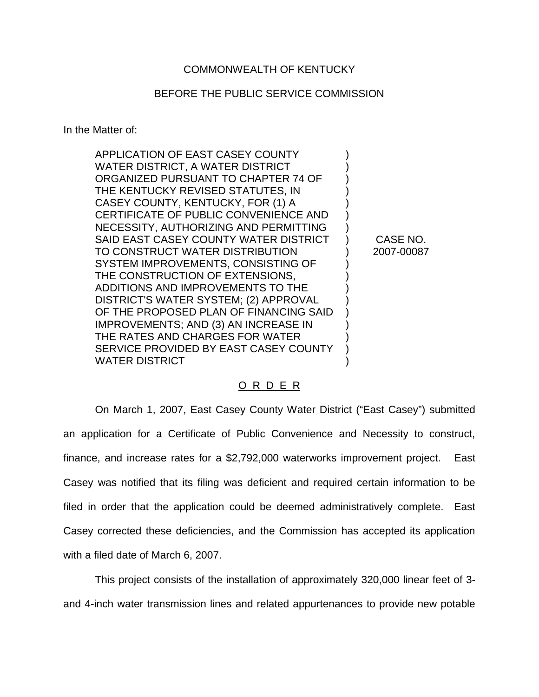# COMMONWEALTH OF KENTUCKY

# BEFORE THE PUBLIC SERVICE COMMISSION

In the Matter of:

| APPLICATION OF EAST CASEY COUNTY       |            |
|----------------------------------------|------------|
| WATER DISTRICT, A WATER DISTRICT       |            |
| ORGANIZED PURSUANT TO CHAPTER 74 OF    |            |
| THE KENTUCKY REVISED STATUTES, IN      |            |
| CASEY COUNTY, KENTUCKY, FOR (1) A      |            |
| CERTIFICATE OF PUBLIC CONVENIENCE AND  |            |
| NECESSITY, AUTHORIZING AND PERMITTING  |            |
| SAID EAST CASEY COUNTY WATER DISTRICT  | CASE NO.   |
| TO CONSTRUCT WATER DISTRIBUTION        | 2007-00087 |
| SYSTEM IMPROVEMENTS, CONSISTING OF     |            |
| THE CONSTRUCTION OF EXTENSIONS,        |            |
| ADDITIONS AND IMPROVEMENTS TO THE      |            |
| DISTRICT'S WATER SYSTEM; (2) APPROVAL  |            |
| OF THE PROPOSED PLAN OF FINANCING SAID |            |
| IMPROVEMENTS; AND (3) AN INCREASE IN   |            |
| THE RATES AND CHARGES FOR WATER        |            |
| SERVICE PROVIDED BY EAST CASEY COUNTY  |            |
| <b>WATER DISTRICT</b>                  |            |

#### O R D E R

On March 1, 2007, East Casey County Water District ("East Casey") submitted an application for a Certificate of Public Convenience and Necessity to construct, finance, and increase rates for a \$2,792,000 waterworks improvement project. East Casey was notified that its filing was deficient and required certain information to be filed in order that the application could be deemed administratively complete. East Casey corrected these deficiencies, and the Commission has accepted its application with a filed date of March 6, 2007.

This project consists of the installation of approximately 320,000 linear feet of 3 and 4-inch water transmission lines and related appurtenances to provide new potable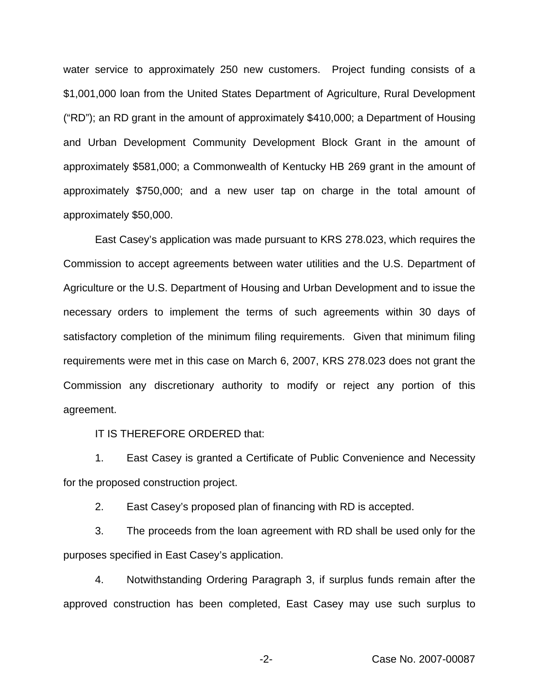water service to approximately 250 new customers. Project funding consists of a \$1,001,000 loan from the United States Department of Agriculture, Rural Development ("RD"); an RD grant in the amount of approximately \$410,000; a Department of Housing and Urban Development Community Development Block Grant in the amount of approximately \$581,000; a Commonwealth of Kentucky HB 269 grant in the amount of approximately \$750,000; and a new user tap on charge in the total amount of approximately \$50,000.

East Casey's application was made pursuant to KRS 278.023, which requires the Commission to accept agreements between water utilities and the U.S. Department of Agriculture or the U.S. Department of Housing and Urban Development and to issue the necessary orders to implement the terms of such agreements within 30 days of satisfactory completion of the minimum filing requirements. Given that minimum filing requirements were met in this case on March 6, 2007, KRS 278.023 does not grant the Commission any discretionary authority to modify or reject any portion of this agreement.

## IT IS THEREFORE ORDERED that:

1. East Casey is granted a Certificate of Public Convenience and Necessity for the proposed construction project.

2. East Casey's proposed plan of financing with RD is accepted.

3. The proceeds from the loan agreement with RD shall be used only for the purposes specified in East Casey's application.

4. Notwithstanding Ordering Paragraph 3, if surplus funds remain after the approved construction has been completed, East Casey may use such surplus to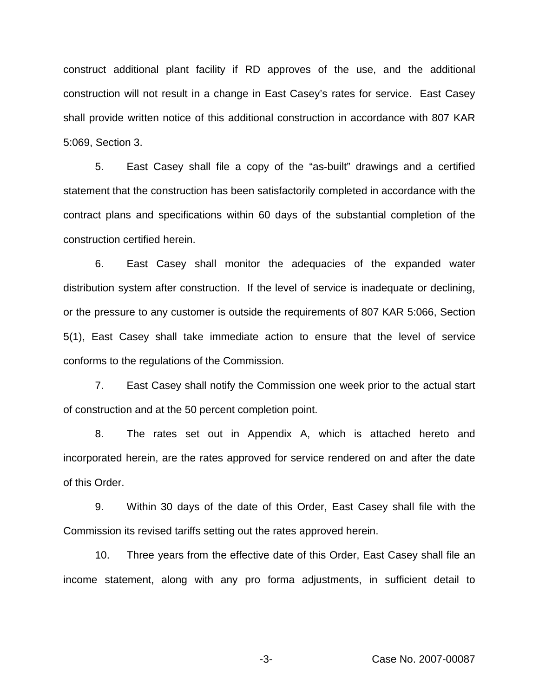construct additional plant facility if RD approves of the use, and the additional construction will not result in a change in East Casey's rates for service. East Casey shall provide written notice of this additional construction in accordance with 807 KAR 5:069, Section 3.

5. East Casey shall file a copy of the "as-built" drawings and a certified statement that the construction has been satisfactorily completed in accordance with the contract plans and specifications within 60 days of the substantial completion of the construction certified herein.

6. East Casey shall monitor the adequacies of the expanded water distribution system after construction. If the level of service is inadequate or declining, or the pressure to any customer is outside the requirements of 807 KAR 5:066, Section 5(1), East Casey shall take immediate action to ensure that the level of service conforms to the regulations of the Commission.

7. East Casey shall notify the Commission one week prior to the actual start of construction and at the 50 percent completion point.

8. The rates set out in Appendix A, which is attached hereto and incorporated herein, are the rates approved for service rendered on and after the date of this Order.

9. Within 30 days of the date of this Order, East Casey shall file with the Commission its revised tariffs setting out the rates approved herein.

10. Three years from the effective date of this Order, East Casey shall file an income statement, along with any pro forma adjustments, in sufficient detail to

-3- Case No. 2007-00087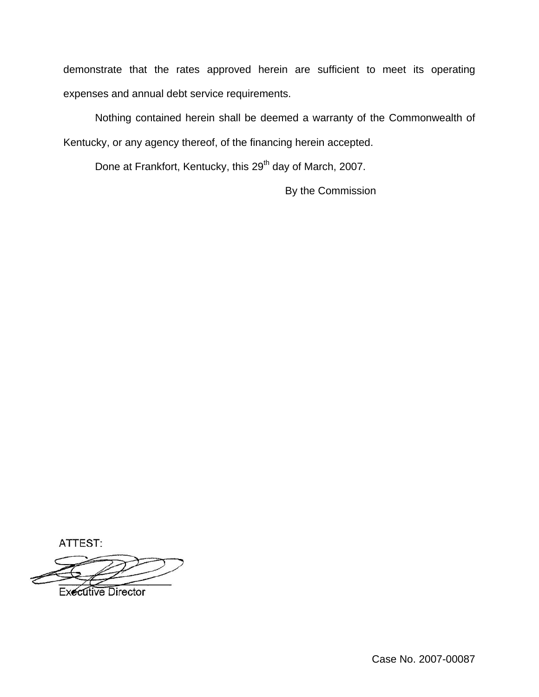demonstrate that the rates approved herein are sufficient to meet its operating expenses and annual debt service requirements.

Nothing contained herein shall be deemed a warranty of the Commonwealth of Kentucky, or any agency thereof, of the financing herein accepted.

Done at Frankfort, Kentucky, this 29<sup>th</sup> day of March, 2007.

By the Commission

ATTEST:

**Executive Director** 

Case No. 2007-00087